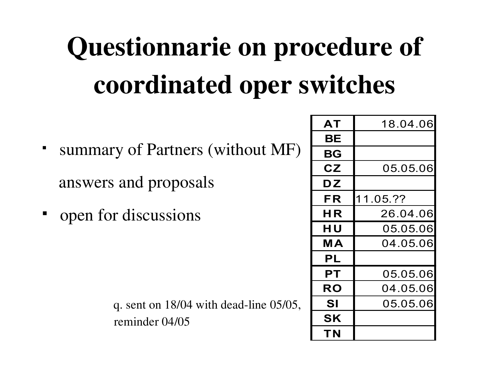# Questionnarie on procedure of coordinated oper switches

- summary of Partners (without MF) answers and proposals
- open for discussions

| q. sent on $18/04$ with dead-line $05/05$ , |
|---------------------------------------------|
| reminder 04/05                              |

| AT                     | 18 04 06 |
|------------------------|----------|
| BΕ                     |          |
| BG                     |          |
| $\mathsf{C}\mathsf{Z}$ | 05.05.06 |
| DZ                     |          |
| FR                     | 11.05.?? |
| ΗR                     | 26.04.06 |
| ΗU                     | 05.05.06 |
| MА                     | 04.05.06 |
| PL                     |          |
| PТ                     | 05.05.06 |
| <b>RO</b>              | 04.05.06 |
| SI                     | 05.05.06 |
| <b>SK</b>              |          |
| ΤN                     |          |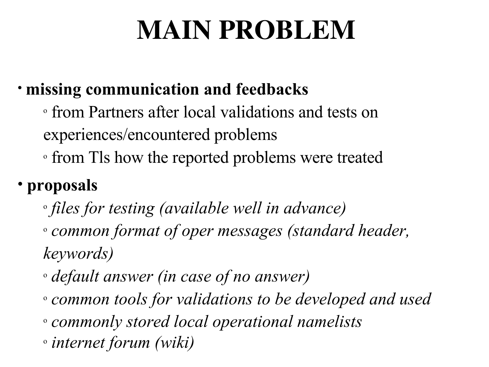# MAIN PROBLEM

#### • **missing communication and feedbacks**

- o from Partners after local validations and tests on experiences/encountered problems
- <sup>o</sup> from Tls how the reported problems were treated

#### • **proposals**

- o *files for testing (available well in advance)* <sup>o</sup> *common format of oper messages (standard header, keywords)*
- <sup>o</sup> *default answer (in case of no answer)*
- <sup>o</sup> *common tools for validations to be developed and used* <sup>o</sup> *commonly stored local operational namelists*
- o *internet forum (wiki)*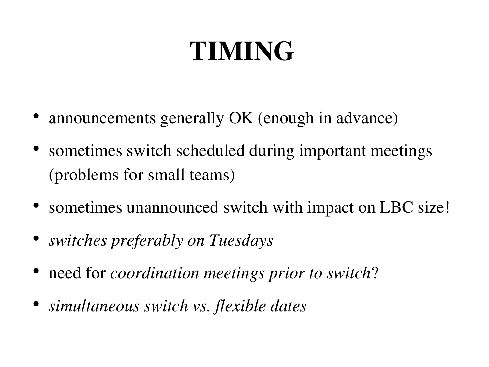## TIMING

- announcements generally OK (enough in advance)
- sometimes switch scheduled during important meetings (problems for small teams)
- sometimes unannounced switch with impact on LBC size!
- *switches preferably on Tuesdays*
- need for *coordination meetings prior to switch*?
- *simultaneous switch vs. flexible dates*